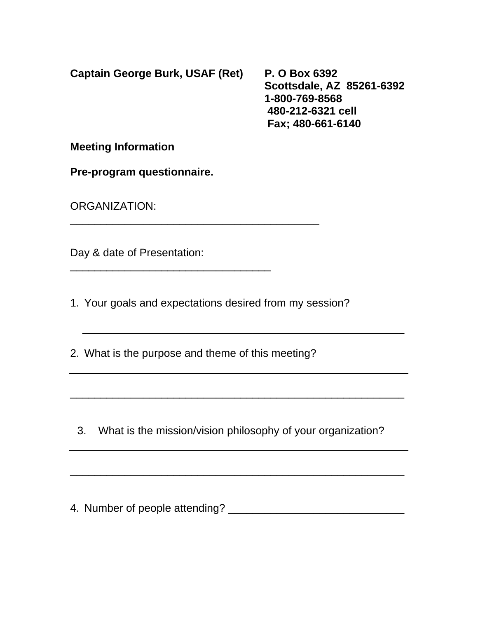**Captain George Burk, USAF (Ret) P. O Box 6392** 

 **Scottsdale, AZ 85261-6392 1-800-769-8568 480-212-6321 cell Fax; 480-661-6140** 

**Meeting Information** 

**Pre-program questionnaire.** 

ORGANIZATION:

Day & date of Presentation:

1. Your goals and expectations desired from my session?

2. What is the purpose and theme of this meeting?

\_\_\_\_\_\_\_\_\_\_\_\_\_\_\_\_\_\_\_\_\_\_\_\_\_\_\_\_\_\_\_\_\_\_\_\_\_\_\_\_\_

\_\_\_\_\_\_\_\_\_\_\_\_\_\_\_\_\_\_\_\_\_\_\_\_\_\_\_\_\_\_\_\_\_

3. What is the mission/vision philosophy of your organization?

\_\_\_\_\_\_\_\_\_\_\_\_\_\_\_\_\_\_\_\_\_\_\_\_\_\_\_\_\_\_\_\_\_\_\_\_\_\_\_\_\_\_\_\_\_\_\_\_\_\_\_\_\_\_\_

 $\overline{\phantom{a}}$  ,  $\overline{\phantom{a}}$  ,  $\overline{\phantom{a}}$  ,  $\overline{\phantom{a}}$  ,  $\overline{\phantom{a}}$  ,  $\overline{\phantom{a}}$  ,  $\overline{\phantom{a}}$  ,  $\overline{\phantom{a}}$  ,  $\overline{\phantom{a}}$  ,  $\overline{\phantom{a}}$  ,  $\overline{\phantom{a}}$  ,  $\overline{\phantom{a}}$  ,  $\overline{\phantom{a}}$  ,  $\overline{\phantom{a}}$  ,  $\overline{\phantom{a}}$  ,  $\overline{\phantom{a}}$ 

\_\_\_\_\_\_\_\_\_\_\_\_\_\_\_\_\_\_\_\_\_\_\_\_\_\_\_\_\_\_\_\_\_\_\_\_\_\_\_\_\_\_\_\_\_\_\_\_\_\_\_\_\_\_\_

4. Number of people attending? \_\_\_\_\_\_\_\_\_\_\_\_\_\_\_\_\_\_\_\_\_\_\_\_\_\_\_\_\_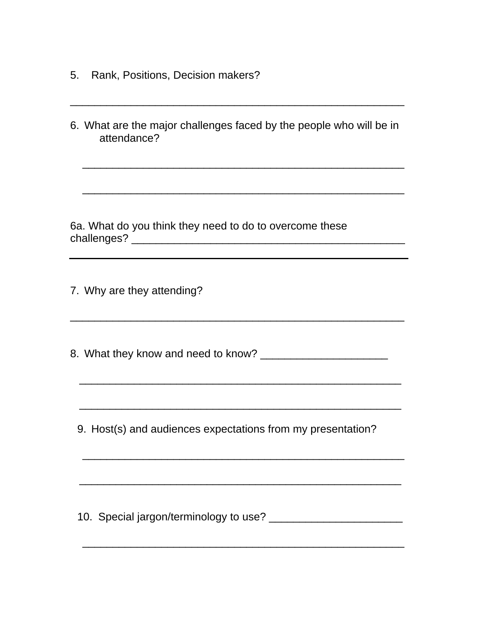- 5. Rank, Positions, Decision makers?
- 6. What are the major challenges faced by the people who will be in attendance?

 $\overline{\phantom{a}}$  ,  $\overline{\phantom{a}}$  ,  $\overline{\phantom{a}}$  ,  $\overline{\phantom{a}}$  ,  $\overline{\phantom{a}}$  ,  $\overline{\phantom{a}}$  ,  $\overline{\phantom{a}}$  ,  $\overline{\phantom{a}}$  ,  $\overline{\phantom{a}}$  ,  $\overline{\phantom{a}}$  ,  $\overline{\phantom{a}}$  ,  $\overline{\phantom{a}}$  ,  $\overline{\phantom{a}}$  ,  $\overline{\phantom{a}}$  ,  $\overline{\phantom{a}}$  ,  $\overline{\phantom{a}}$ 

 $\overline{\phantom{a}}$  ,  $\overline{\phantom{a}}$  ,  $\overline{\phantom{a}}$  ,  $\overline{\phantom{a}}$  ,  $\overline{\phantom{a}}$  ,  $\overline{\phantom{a}}$  ,  $\overline{\phantom{a}}$  ,  $\overline{\phantom{a}}$  ,  $\overline{\phantom{a}}$  ,  $\overline{\phantom{a}}$  ,  $\overline{\phantom{a}}$  ,  $\overline{\phantom{a}}$  ,  $\overline{\phantom{a}}$  ,  $\overline{\phantom{a}}$  ,  $\overline{\phantom{a}}$  ,  $\overline{\phantom{a}}$ 

\_\_\_\_\_\_\_\_\_\_\_\_\_\_\_\_\_\_\_\_\_\_\_\_\_\_\_\_\_\_\_\_\_\_\_\_\_\_\_\_\_\_\_\_\_\_\_\_\_\_\_\_\_\_\_

6a. What do you think they need to do to overcome these challenges? \_\_\_\_\_\_\_\_\_\_\_\_\_\_\_\_\_\_\_\_\_\_\_\_\_\_\_\_\_\_\_\_\_\_\_\_\_\_\_\_\_\_\_\_\_

7. Why are they attending?

8. What they know and need to know?

\_\_\_\_\_\_\_\_\_\_\_\_\_\_\_\_\_\_\_\_\_\_\_\_\_\_\_\_\_\_\_\_\_\_\_\_\_\_\_\_\_\_\_\_\_\_\_\_\_\_\_\_\_\_\_

 $\mathcal{L}_\text{max}$  and  $\mathcal{L}_\text{max}$  and  $\mathcal{L}_\text{max}$  and  $\mathcal{L}_\text{max}$  and  $\mathcal{L}_\text{max}$  and  $\mathcal{L}_\text{max}$ 

\_\_\_\_\_\_\_\_\_\_\_\_\_\_\_\_\_\_\_\_\_\_\_\_\_\_\_\_\_\_\_\_\_\_\_\_\_\_\_\_\_\_\_\_\_\_\_\_\_\_\_\_\_

\_\_\_\_\_\_\_\_\_\_\_\_\_\_\_\_\_\_\_\_\_\_\_\_\_\_\_\_\_\_\_\_\_\_\_\_\_\_\_\_\_\_\_\_\_\_\_\_\_\_\_\_\_

9. Host(s) and audiences expectations from my presentation?

 $\overline{\phantom{a}}$  ,  $\overline{\phantom{a}}$  ,  $\overline{\phantom{a}}$  ,  $\overline{\phantom{a}}$  ,  $\overline{\phantom{a}}$  ,  $\overline{\phantom{a}}$  ,  $\overline{\phantom{a}}$  ,  $\overline{\phantom{a}}$  ,  $\overline{\phantom{a}}$  ,  $\overline{\phantom{a}}$  ,  $\overline{\phantom{a}}$  ,  $\overline{\phantom{a}}$  ,  $\overline{\phantom{a}}$  ,  $\overline{\phantom{a}}$  ,  $\overline{\phantom{a}}$  ,  $\overline{\phantom{a}}$ 

 $\overline{\phantom{a}}$  ,  $\overline{\phantom{a}}$  ,  $\overline{\phantom{a}}$  ,  $\overline{\phantom{a}}$  ,  $\overline{\phantom{a}}$  ,  $\overline{\phantom{a}}$  ,  $\overline{\phantom{a}}$  ,  $\overline{\phantom{a}}$  ,  $\overline{\phantom{a}}$  ,  $\overline{\phantom{a}}$  ,  $\overline{\phantom{a}}$  ,  $\overline{\phantom{a}}$  ,  $\overline{\phantom{a}}$  ,  $\overline{\phantom{a}}$  ,  $\overline{\phantom{a}}$  ,  $\overline{\phantom{a}}$ 

10. Special jargon/terminology to use?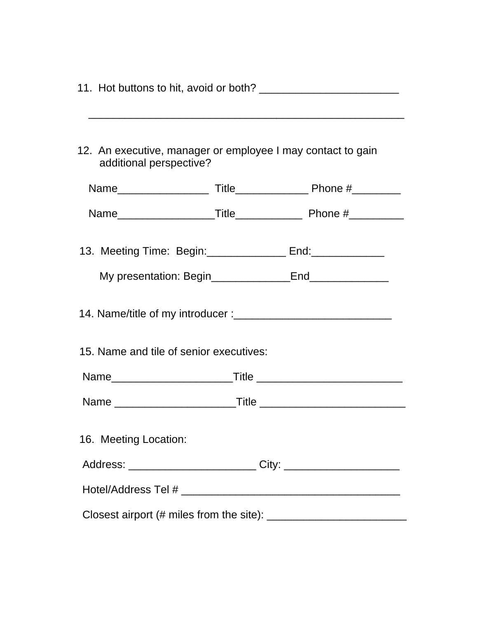|                       | additional perspective?                                            | 12. An executive, manager or employee I may contact to gain |
|-----------------------|--------------------------------------------------------------------|-------------------------------------------------------------|
|                       |                                                                    |                                                             |
|                       |                                                                    |                                                             |
|                       | 13. Meeting Time: Begin: ___________________ End: ________________ |                                                             |
|                       |                                                                    |                                                             |
|                       |                                                                    |                                                             |
|                       | 15. Name and tile of senior executives:                            |                                                             |
|                       |                                                                    |                                                             |
|                       |                                                                    |                                                             |
| 16. Meeting Location: |                                                                    |                                                             |
|                       |                                                                    |                                                             |